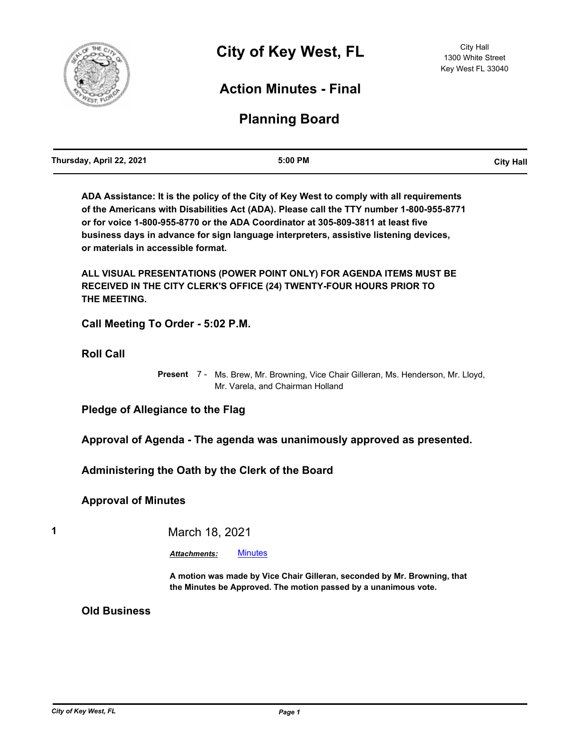

# **Action Minutes - Final**

# **Planning Board**

**ADA Assistance: It is the policy of the City of Key West to comply with all requirements of the Americans with Disabilities Act (ADA). Please call the TTY number 1-800-955-8771 or for voice 1-800-955-8770 or the ADA Coordinator at 305-809-3811 at least five business days in advance for sign language interpreters, assistive listening devices, or materials in accessible format.**

**ALL VISUAL PRESENTATIONS (POWER POINT ONLY) FOR AGENDA ITEMS MUST BE RECEIVED IN THE CITY CLERK'S OFFICE (24) TWENTY-FOUR HOURS PRIOR TO THE MEETING.**

**Call Meeting To Order - 5:02 P.M.**

**Roll Call**

Present 7 - Ms. Brew, Mr. Browning, Vice Chair Gilleran, Ms. Henderson, Mr. Lloyd, Mr. Varela, and Chairman Holland

**Pledge of Allegiance to the Flag**

**Approval of Agenda - The agenda was unanimously approved as presented.**

**Administering the Oath by the Clerk of the Board**

**Approval of Minutes**

**1** March 18, 2021

*Attachments:* [Minutes](http://KeyWest.legistar.com/gateway.aspx?M=F&ID=a8f2be4b-be3b-4637-8c9e-7140462677fb.pdf)

**A motion was made by Vice Chair Gilleran, seconded by Mr. Browning, that the Minutes be Approved. The motion passed by a unanimous vote.**

**Old Business**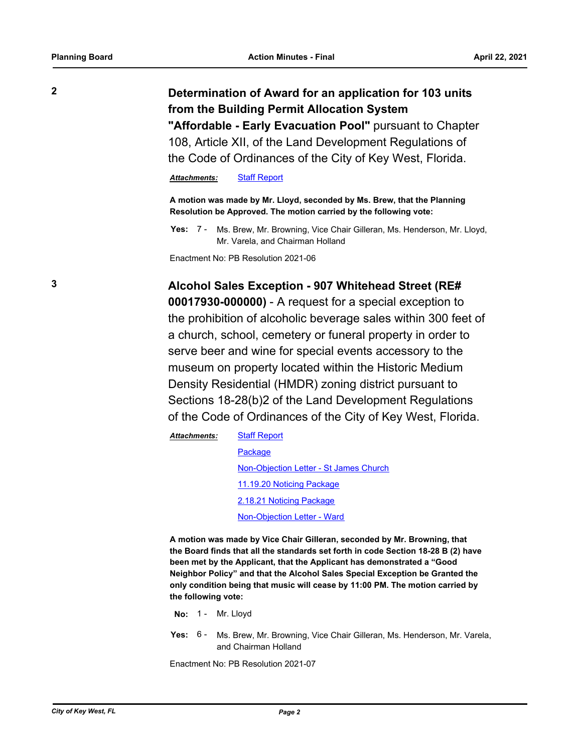**2 Determination of Award for an application for 103 units from the Building Permit Allocation System "Affordable - Early Evacuation Pool"** pursuant to Chapter 108, Article XII, of the Land Development Regulations of

the Code of Ordinances of the City of Key West, Florida.

*Attachments:* [Staff Report](http://KeyWest.legistar.com/gateway.aspx?M=F&ID=f02019fb-7756-4b06-bcb9-2bef0e01561d.pdf)

**A motion was made by Mr. Lloyd, seconded by Ms. Brew, that the Planning Resolution be Approved. The motion carried by the following vote:**

Yes: 7 - Ms. Brew, Mr. Browning, Vice Chair Gilleran, Ms. Henderson, Mr. Lloyd, Mr. Varela, and Chairman Holland

Enactment No: PB Resolution 2021-06

# **3 Alcohol Sales Exception - 907 Whitehead Street (RE#**

**00017930-000000)** - A request for a special exception to the prohibition of alcoholic beverage sales within 300 feet of a church, school, cemetery or funeral property in order to serve beer and wine for special events accessory to the museum on property located within the Historic Medium Density Residential (HMDR) zoning district pursuant to Sections 18-28(b)2 of the Land Development Regulations of the Code of Ordinances of the City of Key West, Florida.

```
Staff Report
                Package
                Non-Objection Letter - St James Church
                11.19.20 Noticing Package
                2.18.21 Noticing Package
                Non-Objection Letter - Ward
Attachments:
```
**A motion was made by Vice Chair Gilleran, seconded by Mr. Browning, that the Board finds that all the standards set forth in code Section 18-28 B (2) have been met by the Applicant, that the Applicant has demonstrated a "Good Neighbor Policy" and that the Alcohol Sales Special Exception be Granted the only condition being that music will cease by 11:00 PM. The motion carried by the following vote:**

No: 1 - Mr. Lloyd

Yes: 6 - Ms. Brew, Mr. Browning, Vice Chair Gilleran, Ms. Henderson, Mr. Varela, and Chairman Holland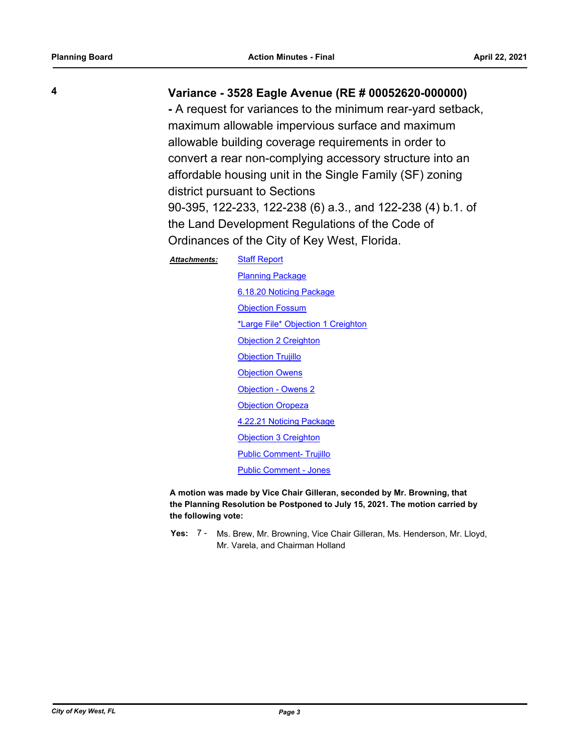## **4 Variance - 3528 Eagle Avenue (RE # 00052620-000000)**

**-** A request for variances to the minimum rear-yard setback, maximum allowable impervious surface and maximum allowable building coverage requirements in order to convert a rear non-complying accessory structure into an affordable housing unit in the Single Family (SF) zoning district pursuant to Sections 90-395, 122-233, 122-238 (6) a.3., and 122-238 (4) b.1. of the Land Development Regulations of the Code of Ordinances of the City of Key West, Florida.

#### [Staff Report](http://KeyWest.legistar.com/gateway.aspx?M=F&ID=086f1724-acfb-442a-8b7d-1645f506304d.pdf) *Attachments:*

[Planning Package](http://KeyWest.legistar.com/gateway.aspx?M=F&ID=a5c46272-7c5b-480e-b09f-b6dfcce16a07.pdf) [6.18.20 Noticing Package](http://KeyWest.legistar.com/gateway.aspx?M=F&ID=7d71d7c4-e8b6-4f22-8e08-3b0e0f1a7032.pdf) [Objection Fossum](http://KeyWest.legistar.com/gateway.aspx?M=F&ID=f6ec9d70-2c5c-4ef9-af37-5532ddbff2ca.pdf) [\\*Large File\\* Objection 1 Creighton](http://KeyWest.legistar.com/gateway.aspx?M=F&ID=94f79b3e-ca78-4744-9c03-57ce093281e3.pdf) **[Objection 2 Creighton](http://KeyWest.legistar.com/gateway.aspx?M=F&ID=7cf25137-7f1a-42e2-9f5d-86219bdecaab.pdf) [Objection Trujillo](http://KeyWest.legistar.com/gateway.aspx?M=F&ID=775f0800-9453-400d-9c4b-eddcf0f6e0bd.pdf) [Objection Owens](http://KeyWest.legistar.com/gateway.aspx?M=F&ID=dd456ebd-a17a-4857-976a-dbe781bee396.pdf)** [Objection - Owens 2](http://KeyWest.legistar.com/gateway.aspx?M=F&ID=82e86c34-db7e-490e-989f-2d5c18148a33.pdf) **[Objection Oropeza](http://KeyWest.legistar.com/gateway.aspx?M=F&ID=568d66c6-0b11-4236-b521-8fa98de9c395.pdf)** [4.22.21 Noticing Package](http://KeyWest.legistar.com/gateway.aspx?M=F&ID=28461789-ecc5-45cb-aab3-4ec83f0f7cbc.pdf) [Objection 3 Creighton](http://KeyWest.legistar.com/gateway.aspx?M=F&ID=1b002ca4-c970-4f19-a85b-76edbfdb0987.pdf) [Public Comment- Trujillo](http://KeyWest.legistar.com/gateway.aspx?M=F&ID=2243fc8a-2f9c-49c4-934e-b86b8a593f25.pdf) [Public Comment - Jones](http://KeyWest.legistar.com/gateway.aspx?M=F&ID=5728f846-8a09-46d9-a31f-9845e00f58b5.pdf)

**A motion was made by Vice Chair Gilleran, seconded by Mr. Browning, that the Planning Resolution be Postponed to July 15, 2021. The motion carried by the following vote:**

Yes: 7 - Ms. Brew, Mr. Browning, Vice Chair Gilleran, Ms. Henderson, Mr. Lloyd, Mr. Varela, and Chairman Holland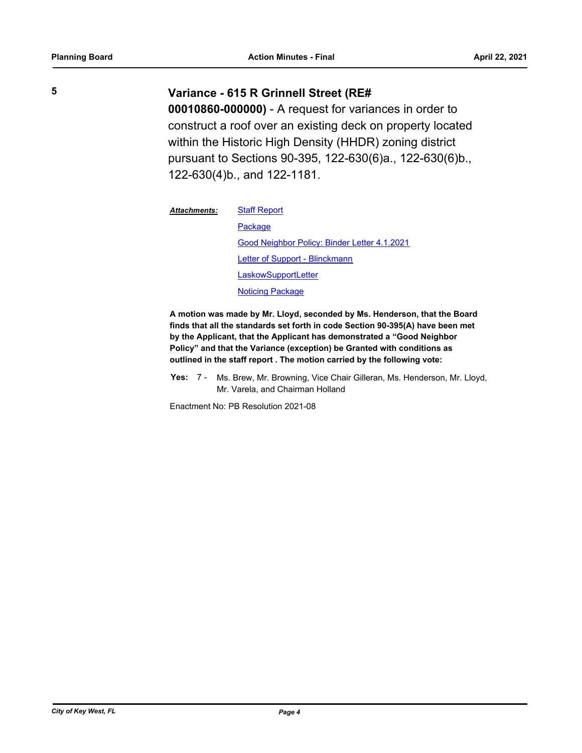### **5 Variance - 615 R Grinnell Street (RE#**

**00010860-000000)** - A request for variances in order to construct a roof over an existing deck on property located within the Historic High Density (HHDR) zoning district pursuant to Sections 90-395, 122-630(6)a., 122-630(6)b., 122-630(4)b., and 122-1181.

| <b>Attachments:</b> | <b>Staff Report</b>                          |
|---------------------|----------------------------------------------|
|                     | Package                                      |
|                     | Good Neighbor Policy: Binder Letter 4.1.2021 |
|                     | Letter of Support - Blinckmann               |
|                     | LaskowSupportLetter                          |
|                     | <b>Noticing Package</b>                      |

**A motion was made by Mr. Lloyd, seconded by Ms. Henderson, that the Board finds that all the standards set forth in code Section 90-395(A) have been met by the Applicant, that the Applicant has demonstrated a "Good Neighbor Policy" and that the Variance (exception) be Granted with conditions as outlined in the staff report . The motion carried by the following vote:**

Yes: 7 - Ms. Brew, Mr. Browning, Vice Chair Gilleran, Ms. Henderson, Mr. Lloyd, Mr. Varela, and Chairman Holland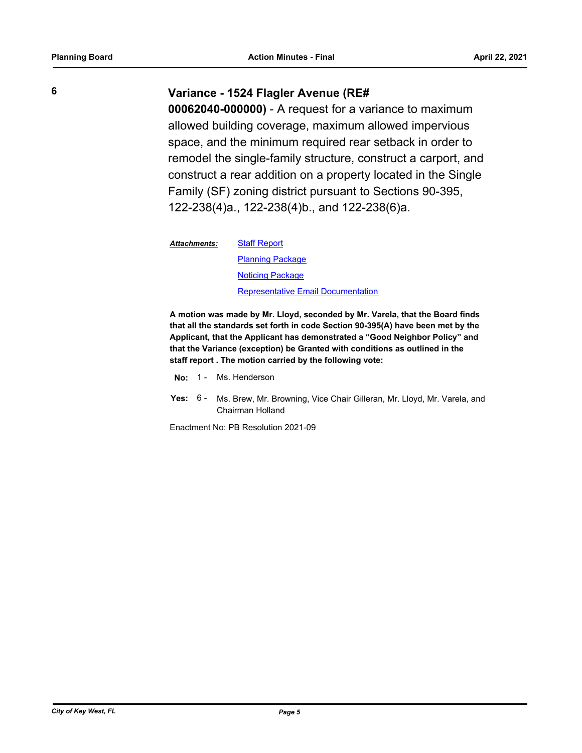## **6 Variance - 1524 Flagler Avenue (RE#**

**00062040-000000)** - A request for a variance to maximum allowed building coverage, maximum allowed impervious space, and the minimum required rear setback in order to remodel the single-family structure, construct a carport, and construct a rear addition on a property located in the Single Family (SF) zoning district pursuant to Sections 90-395, 122-238(4)a., 122-238(4)b., and 122-238(6)a.

[Staff Report](http://KeyWest.legistar.com/gateway.aspx?M=F&ID=672d1a85-c808-4d85-ba94-2fcec7da4a4b.pdf) [Planning Package](http://KeyWest.legistar.com/gateway.aspx?M=F&ID=2d253320-1b6d-4258-aaa6-588c01fe0809.pdf) [Noticing Package](http://KeyWest.legistar.com/gateway.aspx?M=F&ID=1f9a351f-de82-49de-ba26-4022008ae18e.pdf) [Representative Email Documentation](http://KeyWest.legistar.com/gateway.aspx?M=F&ID=b1b26edf-02a6-4e67-b98a-6d5e1e2ca528.pdf) *Attachments:*

**A motion was made by Mr. Lloyd, seconded by Mr. Varela, that the Board finds that all the standards set forth in code Section 90-395(A) have been met by the Applicant, that the Applicant has demonstrated a "Good Neighbor Policy" and that the Variance (exception) be Granted with conditions as outlined in the staff report . The motion carried by the following vote:**

- No: 1 Ms. Henderson
- Yes: 6 Ms. Brew, Mr. Browning, Vice Chair Gilleran, Mr. Lloyd, Mr. Varela, and Chairman Holland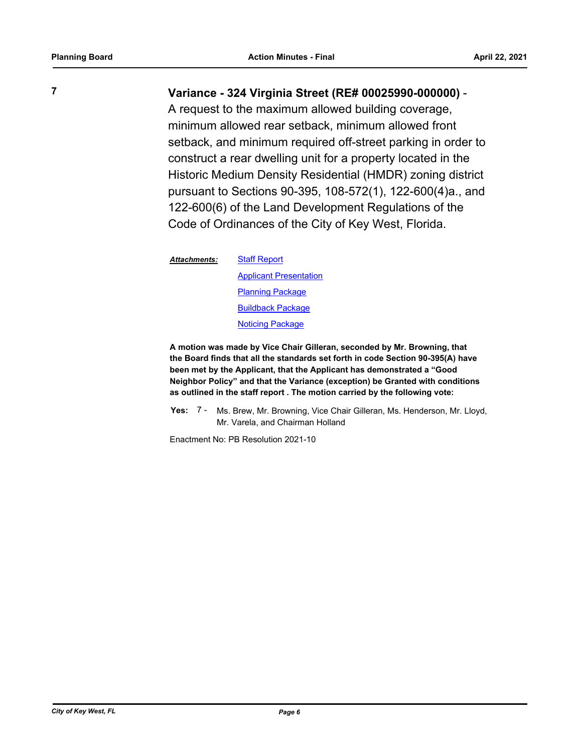# **7 Variance - 324 Virginia Street (RE# 00025990-000000)** -

A request to the maximum allowed building coverage, minimum allowed rear setback, minimum allowed front setback, and minimum required off-street parking in order to construct a rear dwelling unit for a property located in the Historic Medium Density Residential (HMDR) zoning district pursuant to Sections 90-395, 108-572(1), 122-600(4)a., and 122-600(6) of the Land Development Regulations of the Code of Ordinances of the City of Key West, Florida.

**[Staff Report](http://KeyWest.legistar.com/gateway.aspx?M=F&ID=92cad2e4-41ca-4e7b-9545-390866f30d7d.pdf)** [Applicant Presentation](http://KeyWest.legistar.com/gateway.aspx?M=F&ID=6f063388-0f6a-481a-97c1-00aba019d2af.pdf) [Planning Package](http://KeyWest.legistar.com/gateway.aspx?M=F&ID=29547e5a-33de-40ff-99e9-713ddbe6d8a1.pdf) [Buildback Package](http://KeyWest.legistar.com/gateway.aspx?M=F&ID=c6193969-b642-40f9-8a52-6934e7a7c1e4.pdf) [Noticing Package](http://KeyWest.legistar.com/gateway.aspx?M=F&ID=bae1254b-4817-4501-986e-bed2cd9f236e.pdf) *Attachments:*

**A motion was made by Vice Chair Gilleran, seconded by Mr. Browning, that the Board finds that all the standards set forth in code Section 90-395(A) have been met by the Applicant, that the Applicant has demonstrated a "Good Neighbor Policy" and that the Variance (exception) be Granted with conditions as outlined in the staff report . The motion carried by the following vote:**

Yes: 7 - Ms. Brew, Mr. Browning, Vice Chair Gilleran, Ms. Henderson, Mr. Lloyd, Mr. Varela, and Chairman Holland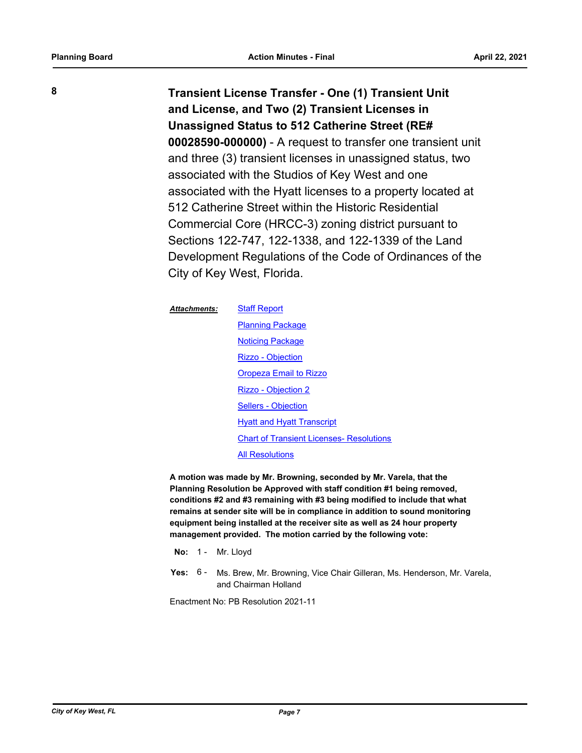**8 Transient License Transfer - One (1) Transient Unit and License, and Two (2) Transient Licenses in Unassigned Status to 512 Catherine Street (RE# 00028590-000000)** - A request to transfer one transient unit and three (3) transient licenses in unassigned status, two associated with the Studios of Key West and one associated with the Hyatt licenses to a property located at 512 Catherine Street within the Historic Residential Commercial Core (HRCC-3) zoning district pursuant to Sections 122-747, 122-1338, and 122-1339 of the Land Development Regulations of the Code of Ordinances of the City of Key West, Florida.

> [Staff Report](http://KeyWest.legistar.com/gateway.aspx?M=F&ID=18af2693-7d29-4c09-84b4-b334d772e604.pdf) **[Planning Package](http://KeyWest.legistar.com/gateway.aspx?M=F&ID=6367fddb-5b44-4337-8599-e81f609ecb75.pdf)** [Noticing Package](http://KeyWest.legistar.com/gateway.aspx?M=F&ID=455cb233-33be-4305-9f2a-e110e89c94c3.pdf) [Rizzo - Objection](http://KeyWest.legistar.com/gateway.aspx?M=F&ID=a0b09461-d341-4f10-95aa-ec64f6451c45.pdf) [Oropeza Email to Rizzo](http://KeyWest.legistar.com/gateway.aspx?M=F&ID=f5b611ed-2682-43ec-9bb5-8655ef4a34da.pdf) [Rizzo - Objection 2](http://KeyWest.legistar.com/gateway.aspx?M=F&ID=4e975a0e-8e99-463a-aba4-f6e0356526ea.pdf) [Sellers - Objection](http://KeyWest.legistar.com/gateway.aspx?M=F&ID=9d47f77e-8146-4e50-afe0-397ea2118c02.pdf) [Hyatt and Hyatt Transcript](http://KeyWest.legistar.com/gateway.aspx?M=F&ID=5413ab0d-ad9e-41da-b4ac-532e6f4b5bd0.pdf) [Chart of Transient Licenses- Resolutions](http://KeyWest.legistar.com/gateway.aspx?M=F&ID=27a7c774-1032-47f5-a4e3-07934db22151.pdf) *Attachments:*

[All Resolutions](http://KeyWest.legistar.com/gateway.aspx?M=F&ID=67580f5c-6d42-424a-91de-29aa6bb3b46e.pdf)

**A motion was made by Mr. Browning, seconded by Mr. Varela, that the Planning Resolution be Approved with staff condition #1 being removed, conditions #2 and #3 remaining with #3 being modified to include that what remains at sender site will be in compliance in addition to sound monitoring equipment being installed at the receiver site as well as 24 hour property management provided. The motion carried by the following vote:**

- No: 1 Mr. Lloyd
- Yes: 6 Ms. Brew, Mr. Browning, Vice Chair Gilleran, Ms. Henderson, Mr. Varela, and Chairman Holland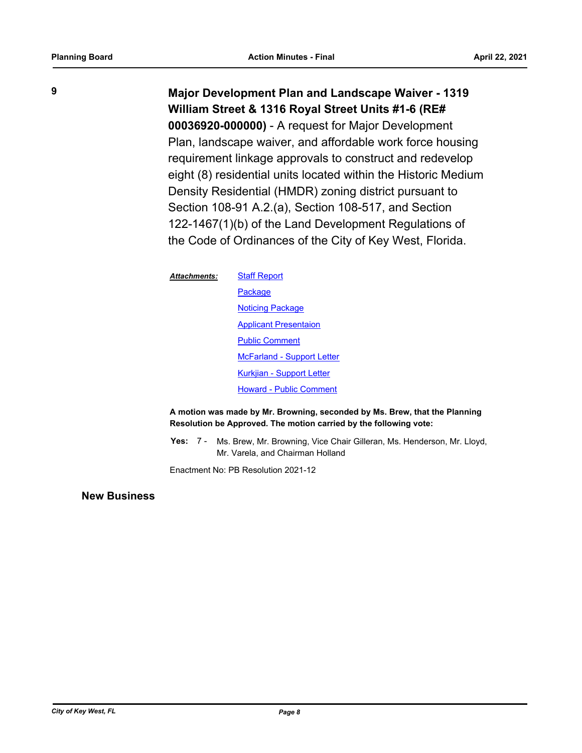**9 Major Development Plan and Landscape Waiver - 1319 William Street & 1316 Royal Street Units #1-6 (RE#** 

> **00036920-000000)** - A request for Major Development Plan, landscape waiver, and affordable work force housing requirement linkage approvals to construct and redevelop eight (8) residential units located within the Historic Medium Density Residential (HMDR) zoning district pursuant to Section 108-91 A.2.(a), Section 108-517, and Section 122-1467(1)(b) of the Land Development Regulations of the Code of Ordinances of the City of Key West, Florida.

[Staff Report](http://KeyWest.legistar.com/gateway.aspx?M=F&ID=b22dc5c1-ba4a-4f25-be33-5b09ca80782c.pdf) *Attachments:*

> **[Package](http://KeyWest.legistar.com/gateway.aspx?M=F&ID=8efe6c77-2c5d-43f8-af87-a0e21022cbd5.pdf)** [Noticing Package](http://KeyWest.legistar.com/gateway.aspx?M=F&ID=bce778f4-589c-4704-8e69-56f074c28622.pdf) [Applicant Presentaion](http://KeyWest.legistar.com/gateway.aspx?M=F&ID=ea8883be-bbe2-4335-a528-29ac58551d32.pdf) [Public Comment](http://KeyWest.legistar.com/gateway.aspx?M=F&ID=663f77ae-3755-4ad1-bd59-df0db856b2aa.pdf) [McFarland - Support Letter](http://KeyWest.legistar.com/gateway.aspx?M=F&ID=1482fe1e-e9f4-4988-bb95-dd77fc735976.pdf) [Kurkjian - Support Letter](http://KeyWest.legistar.com/gateway.aspx?M=F&ID=acb73a79-7191-484f-8902-d7434cbd373e.pdf) [Howard - Public Comment](http://KeyWest.legistar.com/gateway.aspx?M=F&ID=faaf2ea3-a0b0-455a-905a-05d01959b9f9.pdf)

**A motion was made by Mr. Browning, seconded by Ms. Brew, that the Planning Resolution be Approved. The motion carried by the following vote:**

**Yes:** Ms. Brew, Mr. Browning, Vice Chair Gilleran, Ms. Henderson, Mr. Lloyd, Mr. Varela, and Chairman Holland Yes: 7 -

Enactment No: PB Resolution 2021-12

**New Business**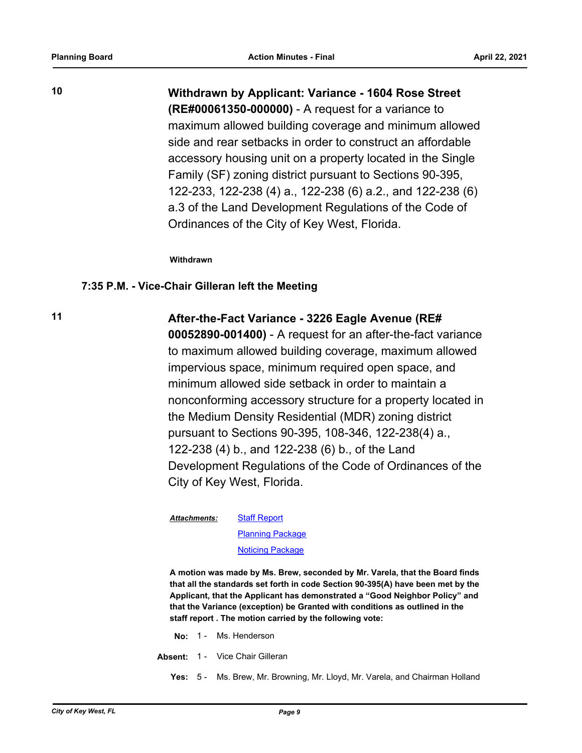**10 Withdrawn by Applicant: Variance - 1604 Rose Street (RE#00061350-000000)** - A request for a variance to maximum allowed building coverage and minimum allowed side and rear setbacks in order to construct an affordable accessory housing unit on a property located in the Single Family (SF) zoning district pursuant to Sections 90-395, 122-233, 122-238 (4) a., 122-238 (6) a.2., and 122-238 (6) a.3 of the Land Development Regulations of the Code of Ordinances of the City of Key West, Florida.

#### **Withdrawn**

#### **7:35 P.M. - Vice-Chair Gilleran left the Meeting**

## **11 After-the-Fact Variance - 3226 Eagle Avenue (RE#**

**00052890-001400)** - A request for an after-the-fact variance to maximum allowed building coverage, maximum allowed impervious space, minimum required open space, and minimum allowed side setback in order to maintain a nonconforming accessory structure for a property located in the Medium Density Residential (MDR) zoning district pursuant to Sections 90-395, 108-346, 122-238(4) a., 122-238 (4) b., and 122-238 (6) b., of the Land Development Regulations of the Code of Ordinances of the City of Key West, Florida.

**[Staff Report](http://KeyWest.legistar.com/gateway.aspx?M=F&ID=df51b579-701f-45ec-9e06-46e93d88b5fd.pdf) [Planning Package](http://KeyWest.legistar.com/gateway.aspx?M=F&ID=8671969e-997d-448a-9fda-f816b87d7ddd.pdf)** [Noticing Package](http://KeyWest.legistar.com/gateway.aspx?M=F&ID=89d2f773-77d4-46d8-ad60-dde84b864274.pdf) *Attachments:*

**A motion was made by Ms. Brew, seconded by Mr. Varela, that the Board finds that all the standards set forth in code Section 90-395(A) have been met by the Applicant, that the Applicant has demonstrated a "Good Neighbor Policy" and that the Variance (exception) be Granted with conditions as outlined in the staff report . The motion carried by the following vote:**

**No:** 1 - Ms. Henderson

- **Absent:** 1 Vice Chair Gilleran
	- **Yes:** 5 Ms. Brew, Mr. Browning, Mr. Lloyd, Mr. Varela, and Chairman Holland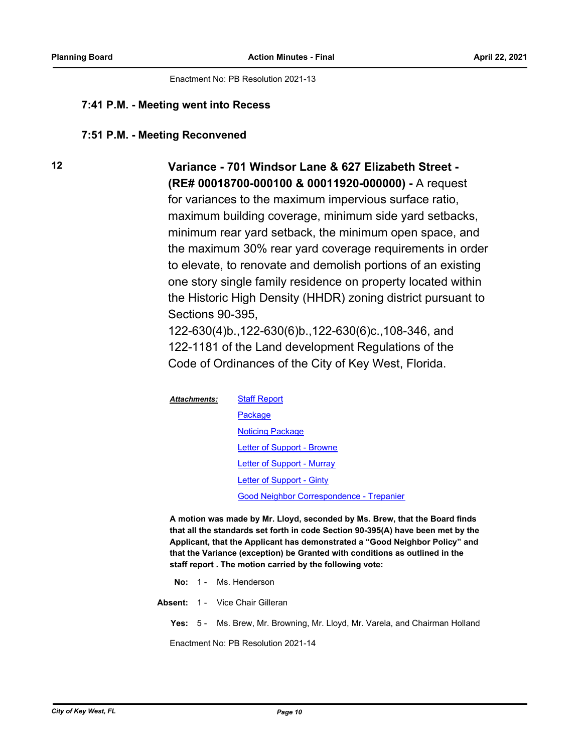Enactment No: PB Resolution 2021-13

#### **7:41 P.M. - Meeting went into Recess**

#### **7:51 P.M. - Meeting Reconvened**

## **12 Variance - 701 Windsor Lane & 627 Elizabeth Street - (RE# 00018700-000100 & 00011920-000000) -** A request

for variances to the maximum impervious surface ratio, maximum building coverage, minimum side yard setbacks, minimum rear yard setback, the minimum open space, and the maximum 30% rear yard coverage requirements in order to elevate, to renovate and demolish portions of an existing one story single family residence on property located within the Historic High Density (HHDR) zoning district pursuant to Sections 90-395,

122-630(4)b.,122-630(6)b.,122-630(6)c.,108-346, and 122-1181 of the Land development Regulations of the Code of Ordinances of the City of Key West, Florida.

| <b>Attachments:</b> | <b>Staff Report</b>                      |
|---------------------|------------------------------------------|
|                     | Package                                  |
|                     | <b>Noticing Package</b>                  |
|                     | Letter of Support - Browne               |
|                     | Letter of Support - Murray               |
|                     | Letter of Support - Ginty                |
|                     | Good Neighbor Correspondence - Trepanier |

**A motion was made by Mr. Lloyd, seconded by Ms. Brew, that the Board finds that all the standards set forth in code Section 90-395(A) have been met by the Applicant, that the Applicant has demonstrated a "Good Neighbor Policy" and that the Variance (exception) be Granted with conditions as outlined in the staff report . The motion carried by the following vote:**

**No:** 1 - Ms. Henderson

**Absent:** 1 - Vice Chair Gilleran

**Yes:** 5 - Ms. Brew, Mr. Browning, Mr. Lloyd, Mr. Varela, and Chairman Holland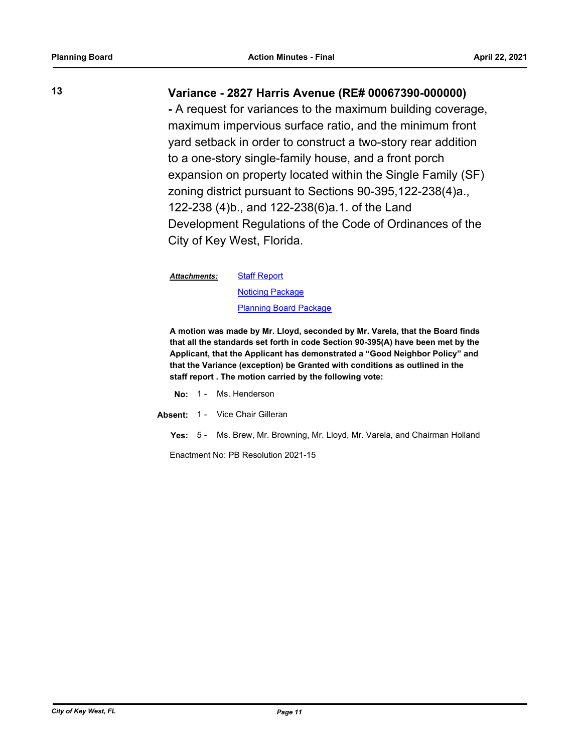# **13 Variance - 2827 Harris Avenue (RE# 00067390-000000)**

**-** A request for variances to the maximum building coverage, maximum impervious surface ratio, and the minimum front yard setback in order to construct a two-story rear addition to a one-story single-family house, and a front porch expansion on property located within the Single Family (SF) zoning district pursuant to Sections 90-395,122-238(4)a., 122-238 (4)b., and 122-238(6)a.1. of the Land Development Regulations of the Code of Ordinances of the City of Key West, Florida.

[Staff Report](http://KeyWest.legistar.com/gateway.aspx?M=F&ID=9ec0311c-ffc5-4594-8caf-6b116cf3526e.pdf) *Attachments:*

> **[Noticing Package](http://KeyWest.legistar.com/gateway.aspx?M=F&ID=a8d888b9-6081-41d1-9b68-43d5b9d93f7f.pdf)** [Planning Board Package](http://KeyWest.legistar.com/gateway.aspx?M=F&ID=26b63381-4b64-47f6-ae88-989e448e3ae0.pdf)

**A motion was made by Mr. Lloyd, seconded by Mr. Varela, that the Board finds that all the standards set forth in code Section 90-395(A) have been met by the Applicant, that the Applicant has demonstrated a "Good Neighbor Policy" and that the Variance (exception) be Granted with conditions as outlined in the staff report . The motion carried by the following vote:**

- **No:** 1 Ms. Henderson
- **Absent:** 1 Vice Chair Gilleran
	- **Yes:** 5 Ms. Brew, Mr. Browning, Mr. Lloyd, Mr. Varela, and Chairman Holland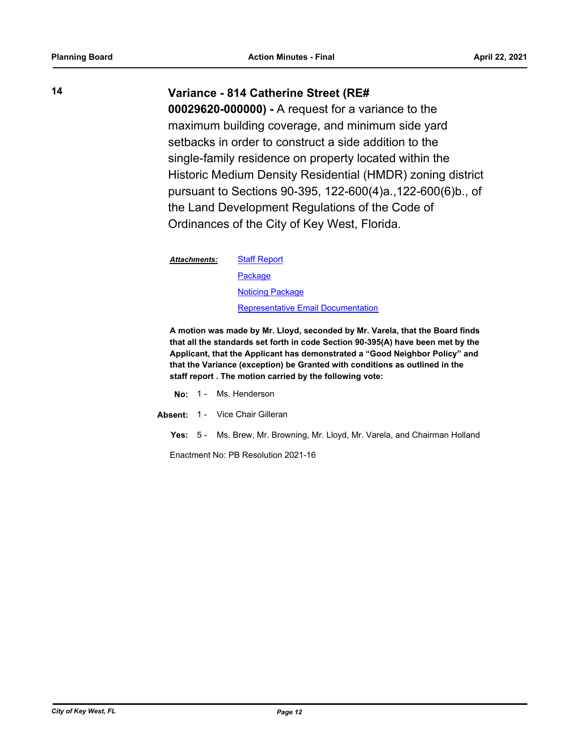# **14 Variance - 814 Catherine Street (RE#**

**00029620-000000) -** A request for a variance to the maximum building coverage, and minimum side yard setbacks in order to construct a side addition to the single-family residence on property located within the Historic Medium Density Residential (HMDR) zoning district pursuant to Sections 90-395, 122-600(4)a.,122-600(6)b., of the Land Development Regulations of the Code of Ordinances of the City of Key West, Florida.

**[Staff Report](http://KeyWest.legistar.com/gateway.aspx?M=F&ID=a00a32c3-db5d-4b78-800c-06de9fccaaae.pdf)** [Package](http://KeyWest.legistar.com/gateway.aspx?M=F&ID=cf60a3de-f1e0-49b4-a1f0-fda6ddd25fa4.pdf) [Noticing Package](http://KeyWest.legistar.com/gateway.aspx?M=F&ID=d2e9bfa9-62df-4f96-974d-42895dd56c95.pdf) [Representative Email Documentation](http://KeyWest.legistar.com/gateway.aspx?M=F&ID=f1c79eaa-7b22-4a86-b158-f64d2b27b50f.pdf) *Attachments:*

**A motion was made by Mr. Lloyd, seconded by Mr. Varela, that the Board finds that all the standards set forth in code Section 90-395(A) have been met by the Applicant, that the Applicant has demonstrated a "Good Neighbor Policy" and that the Variance (exception) be Granted with conditions as outlined in the staff report . The motion carried by the following vote:**

- No: 1 Ms. Henderson
- **Absent:** 1 Vice Chair Gilleran
	- **Yes:** 5 Ms. Brew, Mr. Browning, Mr. Lloyd, Mr. Varela, and Chairman Holland